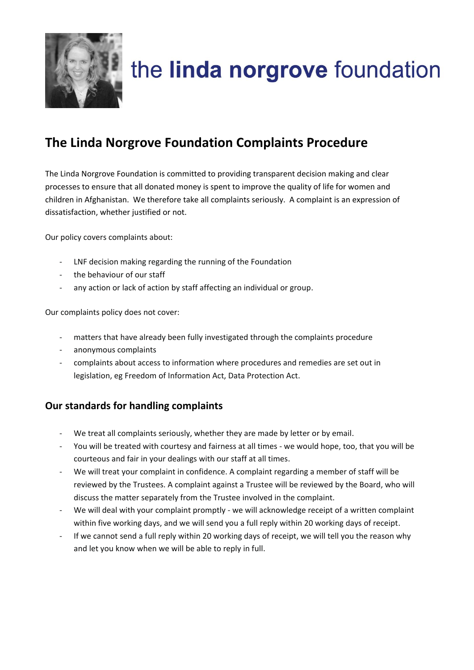

# the linda norgrove foundation

## **The Linda Norgrove Foundation Complaints Procedure**

The Linda Norgrove Foundation is committed to providing transparent decision making and clear processes to ensure that all donated money is spent to improve the quality of life for women and children in Afghanistan. We therefore take all complaints seriously. A complaint is an expression of dissatisfaction, whether justified or not.

Our policy covers complaints about:

- LNF decision making regarding the running of the Foundation
- the behaviour of our staff
- any action or lack of action by staff affecting an individual or group.

Our complaints policy does not cover:

- matters that have already been fully investigated through the complaints procedure
- anonymous complaints
- complaints about access to information where procedures and remedies are set out in legislation, eg Freedom of Information Act, Data Protection Act.

### **Our standards for handling complaints**

- We treat all complaints seriously, whether they are made by letter or by email.
- You will be treated with courtesy and fairness at all times we would hope, too, that you will be courteous and fair in your dealings with our staff at all times.
- We will treat your complaint in confidence. A complaint regarding a member of staff will be reviewed by the Trustees. A complaint against a Trustee will be reviewed by the Board, who will discuss the matter separately from the Trustee involved in the complaint.
- We will deal with your complaint promptly we will acknowledge receipt of a written complaint within five working days, and we will send you a full reply within 20 working days of receipt.
- If we cannot send a full reply within 20 working days of receipt, we will tell you the reason why and let you know when we will be able to reply in full.